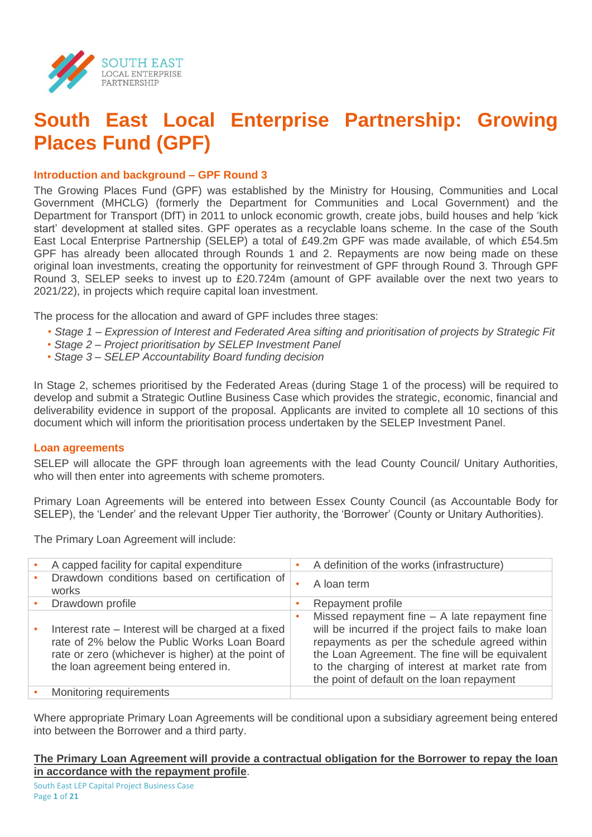

# **South East Local Enterprise Partnership: Growing Places Fund (GPF)**

# **Introduction and background – GPF Round 3**

The Growing Places Fund (GPF) was established by the Ministry for Housing, Communities and Local Government (MHCLG) (formerly the Department for Communities and Local Government) and the Department for Transport (DfT) in 2011 to unlock economic growth, create jobs, build houses and help 'kick start' development at stalled sites. GPF operates as a recyclable loans scheme. In the case of the South East Local Enterprise Partnership (SELEP) a total of £49.2m GPF was made available, of which £54.5m GPF has already been allocated through Rounds 1 and 2. Repayments are now being made on these original loan investments, creating the opportunity for reinvestment of GPF through Round 3. Through GPF Round 3, SELEP seeks to invest up to £20.724m (amount of GPF available over the next two years to 2021/22), in projects which require capital loan investment.

The process for the allocation and award of GPF includes three stages:

- *Stage 1 – Expression of Interest and Federated Area sifting and prioritisation of projects by Strategic Fit*
- *• Stage 2 – Project prioritisation by SELEP Investment Panel*
- *• Stage 3 – SELEP Accountability Board funding decision*

In Stage 2, schemes prioritised by the Federated Areas (during Stage 1 of the process) will be required to develop and submit a Strategic Outline Business Case which provides the strategic, economic, financial and deliverability evidence in support of the proposal. Applicants are invited to complete all 10 sections of this document which will inform the prioritisation process undertaken by the SELEP Investment Panel.

# **Loan agreements**

SELEP will allocate the GPF through loan agreements with the lead County Council/ Unitary Authorities, who will then enter into agreements with scheme promoters.

Primary Loan Agreements will be entered into between Essex County Council (as Accountable Body for SELEP), the 'Lender' and the relevant Upper Tier authority, the 'Borrower' (County or Unitary Authorities).

The Primary Loan Agreement will include:

| A capped facility for capital expenditure                                                                                                                                                         | ٠ | A definition of the works (infrastructure)                                                                                                                                                                                                                                                              |
|---------------------------------------------------------------------------------------------------------------------------------------------------------------------------------------------------|---|---------------------------------------------------------------------------------------------------------------------------------------------------------------------------------------------------------------------------------------------------------------------------------------------------------|
| Drawdown conditions based on certification of<br>works                                                                                                                                            | ٠ | A loan term                                                                                                                                                                                                                                                                                             |
| Drawdown profile                                                                                                                                                                                  |   | Repayment profile                                                                                                                                                                                                                                                                                       |
| Interest rate – Interest will be charged at a fixed<br>rate of 2% below the Public Works Loan Board<br>rate or zero (whichever is higher) at the point of<br>the loan agreement being entered in. | ٠ | Missed repayment fine - A late repayment fine<br>will be incurred if the project fails to make loan<br>repayments as per the schedule agreed within<br>the Loan Agreement. The fine will be equivalent<br>to the charging of interest at market rate from<br>the point of default on the loan repayment |
| Monitoring requirements                                                                                                                                                                           |   |                                                                                                                                                                                                                                                                                                         |

Where appropriate Primary Loan Agreements will be conditional upon a subsidiary agreement being entered into between the Borrower and a third party.

# **The Primary Loan Agreement will provide a contractual obligation for the Borrower to repay the loan in accordance with the repayment profile**.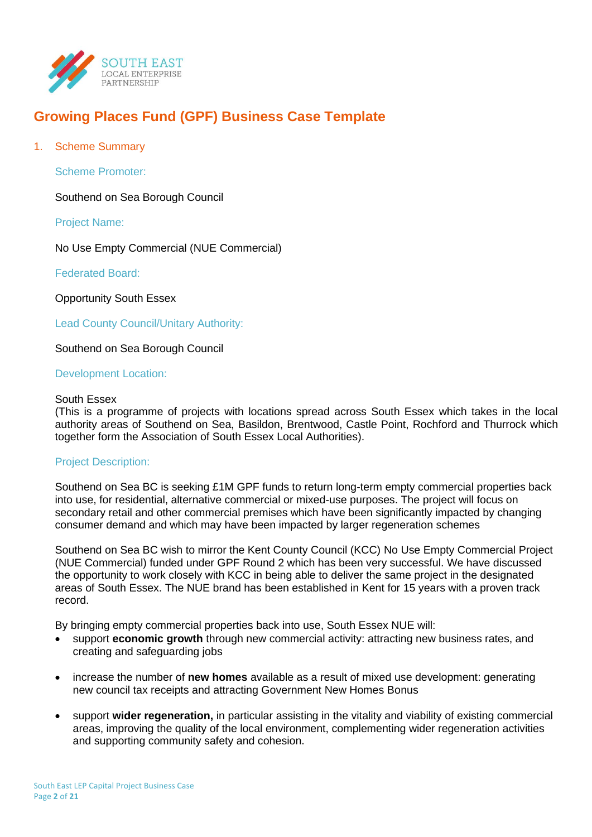

# **Growing Places Fund (GPF) Business Case Template**

1. Scheme Summary

Scheme Promoter:

Southend on Sea Borough Council

Project Name:

No Use Empty Commercial (NUE Commercial)

Federated Board:

Opportunity South Essex

Lead County Council/Unitary Authority:

Southend on Sea Borough Council

Development Location:

#### South Essex

(This is a programme of projects with locations spread across South Essex which takes in the local authority areas of Southend on Sea, Basildon, Brentwood, Castle Point, Rochford and Thurrock which together form the Association of South Essex Local Authorities).

#### Project Description:

Southend on Sea BC is seeking £1M GPF funds to return long-term empty commercial properties back into use, for residential, alternative commercial or mixed-use purposes. The project will focus on secondary retail and other commercial premises which have been significantly impacted by changing consumer demand and which may have been impacted by larger regeneration schemes

Southend on Sea BC wish to mirror the Kent County Council (KCC) No Use Empty Commercial Project (NUE Commercial) funded under GPF Round 2 which has been very successful. We have discussed the opportunity to work closely with KCC in being able to deliver the same project in the designated areas of South Essex. The NUE brand has been established in Kent for 15 years with a proven track record.

By bringing empty commercial properties back into use, South Essex NUE will:

- support **economic growth** through new commercial activity: attracting new business rates, and creating and safeguarding jobs
- increase the number of **new homes** available as a result of mixed use development: generating new council tax receipts and attracting Government New Homes Bonus
- support **wider regeneration,** in particular assisting in the vitality and viability of existing commercial areas, improving the quality of the local environment, complementing wider regeneration activities and supporting community safety and cohesion.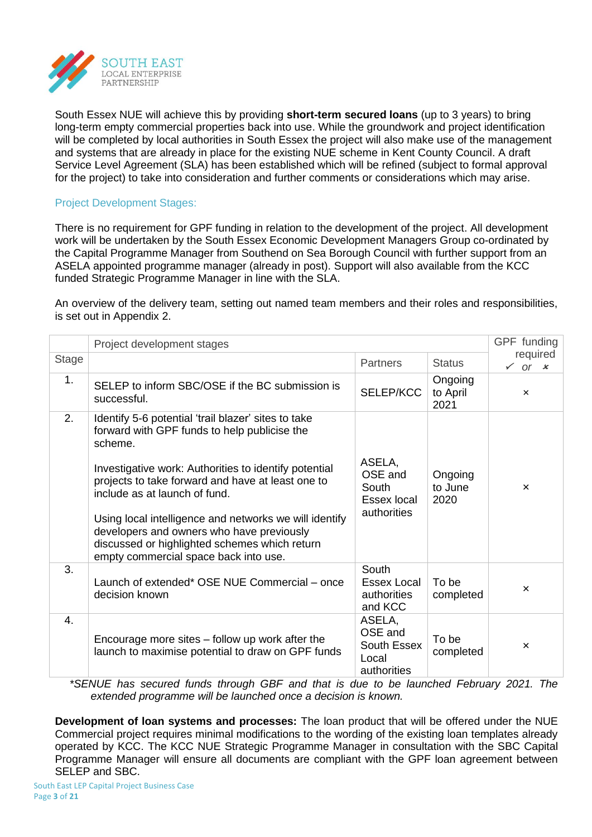

South Essex NUE will achieve this by providing **short-term secured loans** (up to 3 years) to bring long-term empty commercial properties back into use. While the groundwork and project identification will be completed by local authorities in South Essex the project will also make use of the management and systems that are already in place for the existing NUE scheme in Kent County Council. A draft Service Level Agreement (SLA) has been established which will be refined (subject to formal approval for the project) to take into consideration and further comments or considerations which may arise.

# Project Development Stages:

There is no requirement for GPF funding in relation to the development of the project. All development work will be undertaken by the South Essex Economic Development Managers Group co-ordinated by the Capital Programme Manager from Southend on Sea Borough Council with further support from an ASELA appointed programme manager (already in post). Support will also available from the KCC funded Strategic Programme Manager in line with the SLA.

An overview of the delivery team, setting out named team members and their roles and responsibilities, is set out in Appendix 2.

|              | Project development stages                                                                                                                                                                                                                                                                                                                                                                                                                                     |                                                          |                             |                           |  |  |
|--------------|----------------------------------------------------------------------------------------------------------------------------------------------------------------------------------------------------------------------------------------------------------------------------------------------------------------------------------------------------------------------------------------------------------------------------------------------------------------|----------------------------------------------------------|-----------------------------|---------------------------|--|--|
| <b>Stage</b> |                                                                                                                                                                                                                                                                                                                                                                                                                                                                | <b>Partners</b>                                          | <b>Status</b>               | required<br>$\sqrt{or} x$ |  |  |
| 1.           | SELEP to inform SBC/OSE if the BC submission is<br>successful.                                                                                                                                                                                                                                                                                                                                                                                                 | SELEP/KCC                                                | Ongoing<br>to April<br>2021 | $\mathsf{x}$              |  |  |
| 2.           | Identify 5-6 potential 'trail blazer' sites to take<br>forward with GPF funds to help publicise the<br>scheme.<br>Investigative work: Authorities to identify potential<br>projects to take forward and have at least one to<br>include as at launch of fund.<br>Using local intelligence and networks we will identify<br>developers and owners who have previously<br>discussed or highlighted schemes which return<br>empty commercial space back into use. | ASELA,<br>OSE and<br>South<br>Essex local<br>authorities | Ongoing<br>to June<br>2020  | $\mathsf{x}$              |  |  |
| 3.           | Launch of extended* OSE NUE Commercial - once<br>decision known                                                                                                                                                                                                                                                                                                                                                                                                | South<br>Essex Local<br>authorities<br>and KCC           | To be<br>completed          | $\boldsymbol{\mathsf{x}}$ |  |  |
| 4.           | Encourage more sites – follow up work after the<br>launch to maximise potential to draw on GPF funds                                                                                                                                                                                                                                                                                                                                                           | ASELA,<br>OSE and<br>South Essex<br>Local<br>authorities | To be<br>completed          | $\mathsf{x}$              |  |  |

*\*SENUE has secured funds through GBF and that is due to be launched February 2021. The extended programme will be launched once a decision is known.*

**Development of loan systems and processes:** The loan product that will be offered under the NUE Commercial project requires minimal modifications to the wording of the existing loan templates already operated by KCC. The KCC NUE Strategic Programme Manager in consultation with the SBC Capital Programme Manager will ensure all documents are compliant with the GPF loan agreement between SELEP and SBC.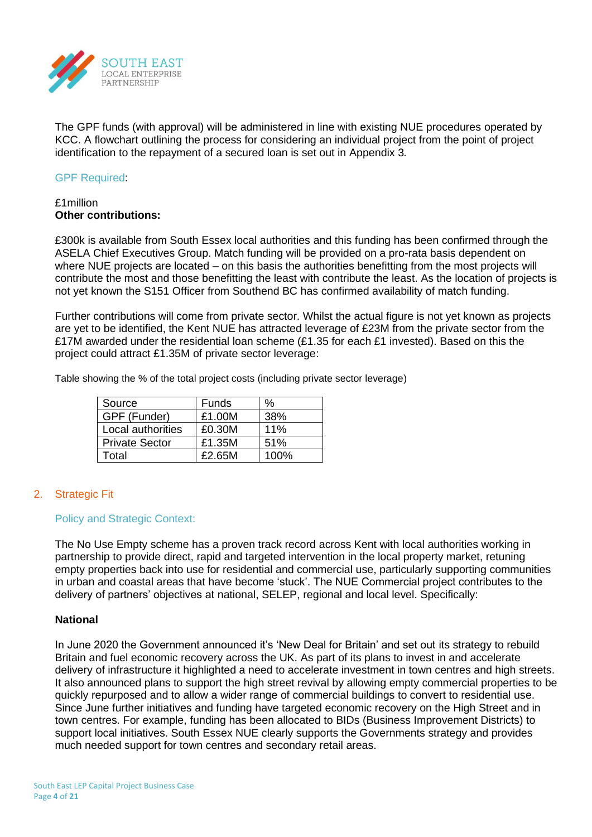

The GPF funds (with approval) will be administered in line with existing NUE procedures operated by KCC. A flowchart outlining the process for considering an individual project from the point of project identification to the repayment of a secured loan is set out in Appendix 3*.*

#### GPF Required:

# £1million **Other contributions:**

£300k is available from South Essex local authorities and this funding has been confirmed through the ASELA Chief Executives Group. Match funding will be provided on a pro-rata basis dependent on where NUE projects are located – on this basis the authorities benefitting from the most projects will contribute the most and those benefitting the least with contribute the least. As the location of projects is not yet known the S151 Officer from Southend BC has confirmed availability of match funding.

Further contributions will come from private sector. Whilst the actual figure is not yet known as projects are yet to be identified, the Kent NUE has attracted leverage of £23M from the private sector from the £17M awarded under the residential loan scheme (£1.35 for each £1 invested). Based on this the project could attract £1.35M of private sector leverage:

Table showing the % of the total project costs (including private sector leverage)

| Source                | Funds  | ℅    |
|-----------------------|--------|------|
| GPF (Funder)          | £1.00M | 38%  |
| Local authorities     | £0.30M | 11%  |
| <b>Private Sector</b> | £1.35M | 51%  |
| Total                 | £2.65M | 100% |

# 2. Strategic Fit

# Policy and Strategic Context:

The No Use Empty scheme has a proven track record across Kent with local authorities working in partnership to provide direct, rapid and targeted intervention in the local property market, retuning empty properties back into use for residential and commercial use, particularly supporting communities in urban and coastal areas that have become 'stuck'. The NUE Commercial project contributes to the delivery of partners' objectives at national, SELEP, regional and local level. Specifically:

# **National**

In June 2020 the Government announced it's 'New Deal for Britain' and set out its strategy to rebuild Britain and fuel economic recovery across the UK. As part of its plans to invest in and accelerate delivery of infrastructure it highlighted a need to accelerate investment in town centres and high streets. It also announced plans to support the high street revival by allowing empty commercial properties to be quickly repurposed and to allow a wider range of commercial buildings to convert to residential use. Since June further initiatives and funding have targeted economic recovery on the High Street and in town centres. For example, funding has been allocated to BIDs (Business Improvement Districts) to support local initiatives. South Essex NUE clearly supports the Governments strategy and provides much needed support for town centres and secondary retail areas.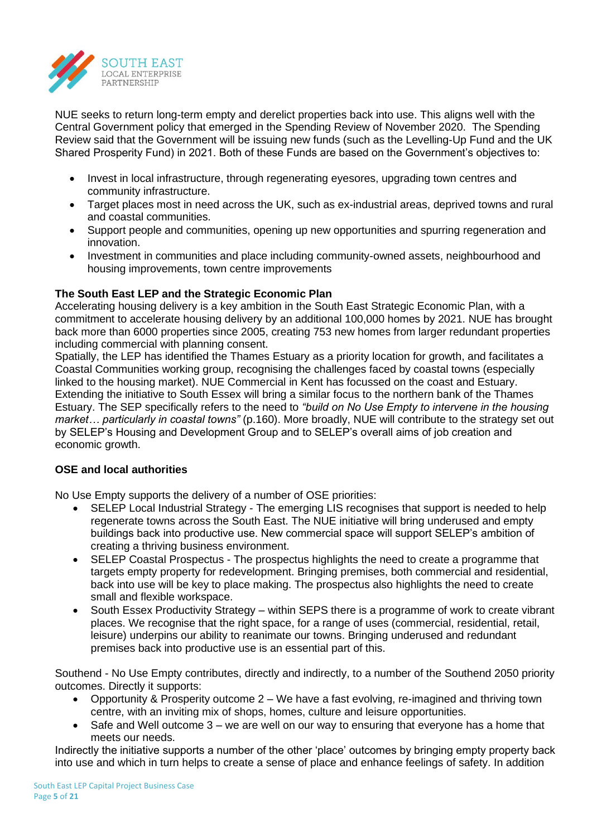

NUE seeks to return long-term empty and derelict properties back into use. This aligns well with the Central Government policy that emerged in the Spending Review of November 2020. The Spending Review said that the Government will be issuing new funds (such as the Levelling-Up Fund and the UK Shared Prosperity Fund) in 2021. Both of these Funds are based on the Government's objectives to:

- Invest in local infrastructure, through regenerating eyesores, upgrading town centres and community infrastructure.
- Target places most in need across the UK, such as ex-industrial areas, deprived towns and rural and coastal communities.
- Support people and communities, opening up new opportunities and spurring regeneration and innovation.
- Investment in communities and place including community-owned assets, neighbourhood and housing improvements, town centre improvements

# **The South East LEP and the Strategic Economic Plan**

Accelerating housing delivery is a key ambition in the South East Strategic Economic Plan, with a commitment to accelerate housing delivery by an additional 100,000 homes by 2021. NUE has brought back more than 6000 properties since 2005, creating 753 new homes from larger redundant properties including commercial with planning consent.

Spatially, the LEP has identified the Thames Estuary as a priority location for growth, and facilitates a Coastal Communities working group, recognising the challenges faced by coastal towns (especially linked to the housing market). NUE Commercial in Kent has focussed on the coast and Estuary. Extending the initiative to South Essex will bring a similar focus to the northern bank of the Thames Estuary. The SEP specifically refers to the need to *"build on No Use Empty to intervene in the housing market… particularly in coastal towns"* (p.160). More broadly, NUE will contribute to the strategy set out by SELEP's Housing and Development Group and to SELEP's overall aims of job creation and economic growth.

# **OSE and local authorities**

No Use Empty supports the delivery of a number of OSE priorities:

- SELEP Local Industrial Strategy The emerging LIS recognises that support is needed to help regenerate towns across the South East. The NUE initiative will bring underused and empty buildings back into productive use. New commercial space will support SELEP's ambition of creating a thriving business environment.
- SELEP Coastal Prospectus The prospectus highlights the need to create a programme that targets empty property for redevelopment. Bringing premises, both commercial and residential, back into use will be key to place making. The prospectus also highlights the need to create small and flexible workspace.
- South Essex Productivity Strategy within SEPS there is a programme of work to create vibrant places. We recognise that the right space, for a range of uses (commercial, residential, retail, leisure) underpins our ability to reanimate our towns. Bringing underused and redundant premises back into productive use is an essential part of this.

Southend - No Use Empty contributes, directly and indirectly, to a number of the Southend 2050 priority outcomes. Directly it supports:

- Opportunity & Prosperity outcome 2 We have a fast evolving, re-imagined and thriving town centre, with an inviting mix of shops, homes, culture and leisure opportunities.
- Safe and Well outcome 3 we are well on our way to ensuring that everyone has a home that meets our needs.

Indirectly the initiative supports a number of the other 'place' outcomes by bringing empty property back into use and which in turn helps to create a sense of place and enhance feelings of safety. In addition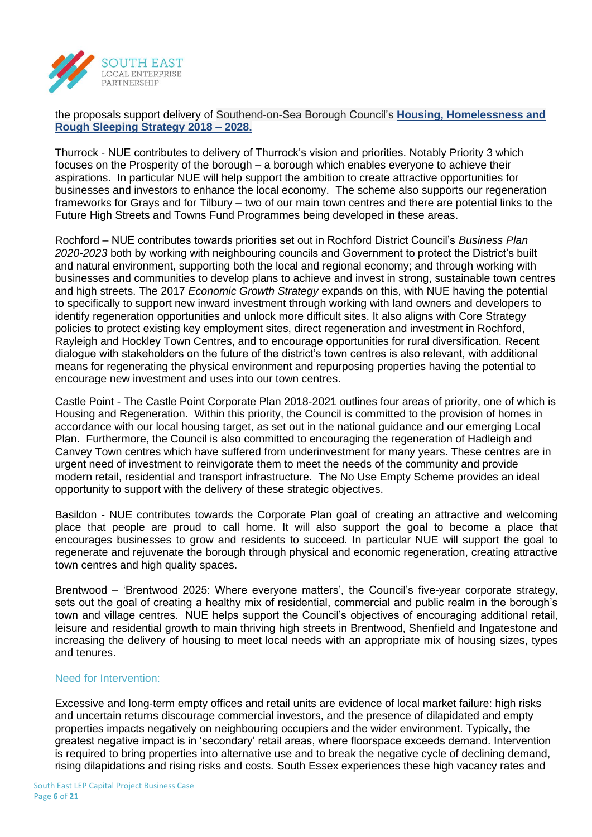

the proposals support delivery of Southend-on-Sea Borough Council's **[Housing, Homelessness and](http://www.southend.gov.uk/downloads/file/6156/housing_homelessness_and_rough_sleeping_strategy)  [Rough Sleeping Strategy 2018 –](http://www.southend.gov.uk/downloads/file/6156/housing_homelessness_and_rough_sleeping_strategy) 2028.** 

Thurrock - NUE contributes to delivery of Thurrock's vision and priorities. Notably Priority 3 which focuses on the Prosperity of the borough – a borough which enables everyone to achieve their aspirations. In particular NUE will help support the ambition to create attractive opportunities for businesses and investors to enhance the local economy. The scheme also supports our regeneration frameworks for Grays and for Tilbury – two of our main town centres and there are potential links to the Future High Streets and Towns Fund Programmes being developed in these areas.

Rochford – NUE contributes towards priorities set out in Rochford District Council's *Business Plan 2020-2023* both by working with neighbouring councils and Government to protect the District's built and natural environment, supporting both the local and regional economy; and through working with businesses and communities to develop plans to achieve and invest in strong, sustainable town centres and high streets. The 2017 *Economic Growth Strategy* expands on this, with NUE having the potential to specifically to support new inward investment through working with land owners and developers to identify regeneration opportunities and unlock more difficult sites. It also aligns with Core Strategy policies to protect existing key employment sites, direct regeneration and investment in Rochford, Rayleigh and Hockley Town Centres, and to encourage opportunities for rural diversification. Recent dialogue with stakeholders on the future of the district's town centres is also relevant, with additional means for regenerating the physical environment and repurposing properties having the potential to encourage new investment and uses into our town centres.

Castle Point - The Castle Point Corporate Plan 2018-2021 outlines four areas of priority, one of which is Housing and Regeneration. Within this priority, the Council is committed to the provision of homes in accordance with our local housing target, as set out in the national guidance and our emerging Local Plan. Furthermore, the Council is also committed to encouraging the regeneration of Hadleigh and Canvey Town centres which have suffered from underinvestment for many years. These centres are in urgent need of investment to reinvigorate them to meet the needs of the community and provide modern retail, residential and transport infrastructure. The No Use Empty Scheme provides an ideal opportunity to support with the delivery of these strategic objectives.

Basildon - NUE contributes towards the Corporate Plan goal of creating an attractive and welcoming place that people are proud to call home. It will also support the goal to become a place that encourages businesses to grow and residents to succeed. In particular NUE will support the goal to regenerate and rejuvenate the borough through physical and economic regeneration, creating attractive town centres and high quality spaces.

Brentwood – 'Brentwood 2025: Where everyone matters', the Council's five-year corporate strategy, sets out the goal of creating a healthy mix of residential, commercial and public realm in the borough's town and village centres. NUE helps support the Council's objectives of encouraging additional retail, leisure and residential growth to main thriving high streets in Brentwood, Shenfield and Ingatestone and increasing the delivery of housing to meet local needs with an appropriate mix of housing sizes, types and tenures.

# Need for Intervention:

Excessive and long-term empty offices and retail units are evidence of local market failure: high risks and uncertain returns discourage commercial investors, and the presence of dilapidated and empty properties impacts negatively on neighbouring occupiers and the wider environment. Typically, the greatest negative impact is in 'secondary' retail areas, where floorspace exceeds demand. Intervention is required to bring properties into alternative use and to break the negative cycle of declining demand, rising dilapidations and rising risks and costs. South Essex experiences these high vacancy rates and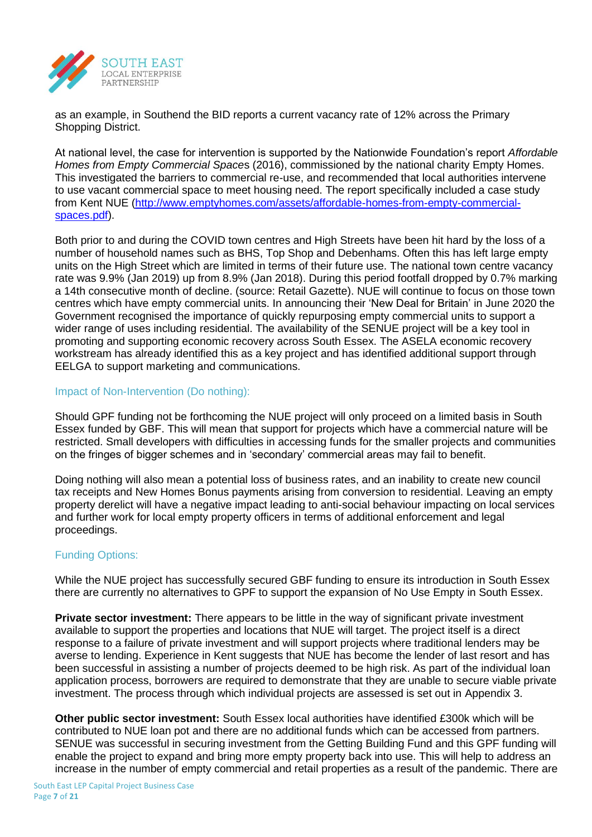

as an example, in Southend the BID reports a current vacancy rate of 12% across the Primary Shopping District.

At national level, the case for intervention is supported by the Nationwide Foundation's report *Affordable Homes from Empty Commercial Space*s (2016), commissioned by the national charity Empty Homes. This investigated the barriers to commercial re-use, and recommended that local authorities intervene to use vacant commercial space to meet housing need. The report specifically included a case study from Kent NUE [\(http://www.emptyhomes.com/assets/affordable-homes-from-empty-commercial](http://www.emptyhomes.com/assets/affordable-homes-from-empty-commercial-spaces.pdf)[spaces.pdf\)](http://www.emptyhomes.com/assets/affordable-homes-from-empty-commercial-spaces.pdf).

Both prior to and during the COVID town centres and High Streets have been hit hard by the loss of a number of household names such as BHS, Top Shop and Debenhams. Often this has left large empty units on the High Street which are limited in terms of their future use. The national town centre vacancy rate was 9.9% (Jan 2019) up from 8.9% (Jan 2018). During this period footfall dropped by 0.7% marking a 14th consecutive month of decline. (source: Retail Gazette). NUE will continue to focus on those town centres which have empty commercial units. In announcing their 'New Deal for Britain' in June 2020 the Government recognised the importance of quickly repurposing empty commercial units to support a wider range of uses including residential. The availability of the SENUE project will be a key tool in promoting and supporting economic recovery across South Essex. The ASELA economic recovery workstream has already identified this as a key project and has identified additional support through EELGA to support marketing and communications.

# Impact of Non-Intervention (Do nothing):

Should GPF funding not be forthcoming the NUE project will only proceed on a limited basis in South Essex funded by GBF. This will mean that support for projects which have a commercial nature will be restricted. Small developers with difficulties in accessing funds for the smaller projects and communities on the fringes of bigger schemes and in 'secondary' commercial areas may fail to benefit.

Doing nothing will also mean a potential loss of business rates, and an inability to create new council tax receipts and New Homes Bonus payments arising from conversion to residential. Leaving an empty property derelict will have a negative impact leading to anti-social behaviour impacting on local services and further work for local empty property officers in terms of additional enforcement and legal proceedings.

# Funding Options:

While the NUE project has successfully secured GBF funding to ensure its introduction in South Essex there are currently no alternatives to GPF to support the expansion of No Use Empty in South Essex.

**Private sector investment:** There appears to be little in the way of significant private investment available to support the properties and locations that NUE will target. The project itself is a direct response to a failure of private investment and will support projects where traditional lenders may be averse to lending. Experience in Kent suggests that NUE has become the lender of last resort and has been successful in assisting a number of projects deemed to be high risk. As part of the individual loan application process, borrowers are required to demonstrate that they are unable to secure viable private investment. The process through which individual projects are assessed is set out in Appendix 3.

**Other public sector investment:** South Essex local authorities have identified £300k which will be contributed to NUE loan pot and there are no additional funds which can be accessed from partners. SENUE was successful in securing investment from the Getting Building Fund and this GPF funding will enable the project to expand and bring more empty property back into use. This will help to address an increase in the number of empty commercial and retail properties as a result of the pandemic. There are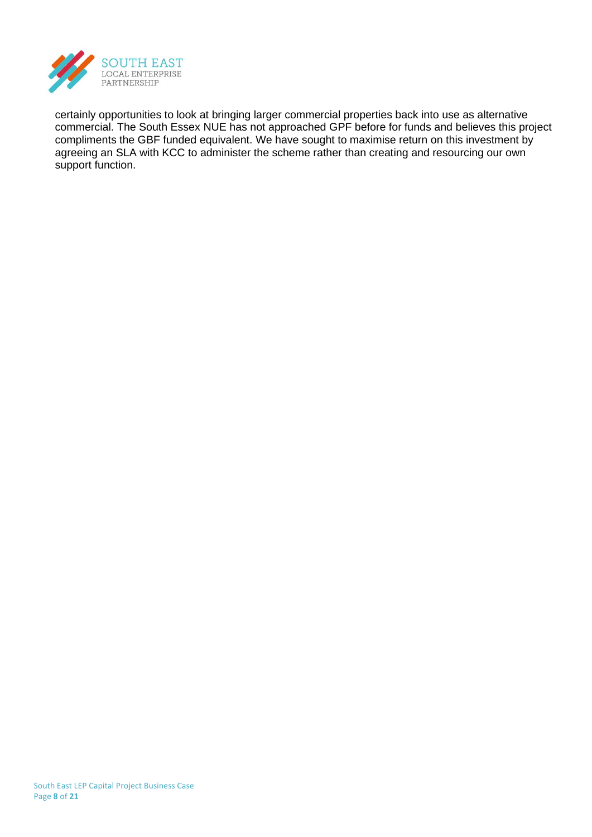

certainly opportunities to look at bringing larger commercial properties back into use as alternative commercial. The South Essex NUE has not approached GPF before for funds and believes this project compliments the GBF funded equivalent. We have sought to maximise return on this investment by agreeing an SLA with KCC to administer the scheme rather than creating and resourcing our own support function.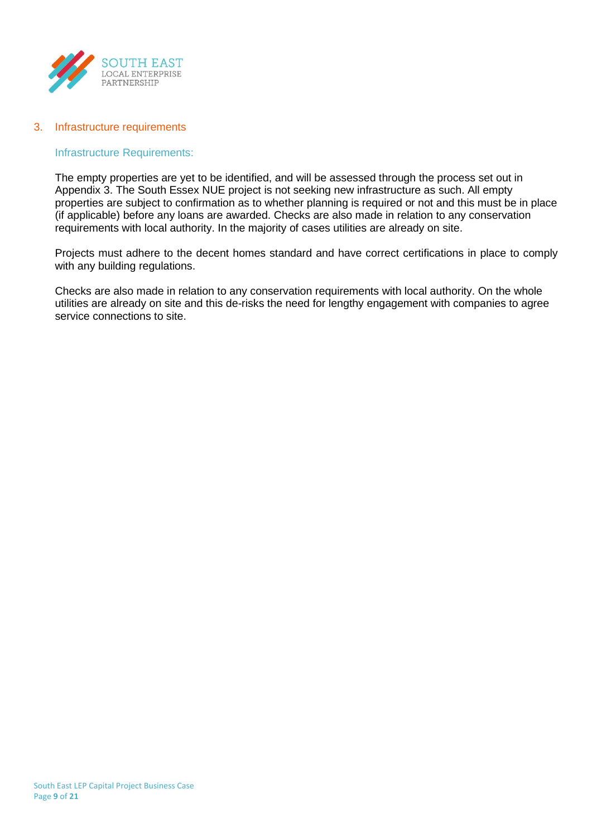

#### 3. Infrastructure requirements

#### Infrastructure Requirements:

The empty properties are yet to be identified, and will be assessed through the process set out in Appendix 3. The South Essex NUE project is not seeking new infrastructure as such. All empty properties are subject to confirmation as to whether planning is required or not and this must be in place (if applicable) before any loans are awarded. Checks are also made in relation to any conservation requirements with local authority. In the majority of cases utilities are already on site.

Projects must adhere to the decent homes standard and have correct certifications in place to comply with any building regulations.

Checks are also made in relation to any conservation requirements with local authority. On the whole utilities are already on site and this de-risks the need for lengthy engagement with companies to agree service connections to site.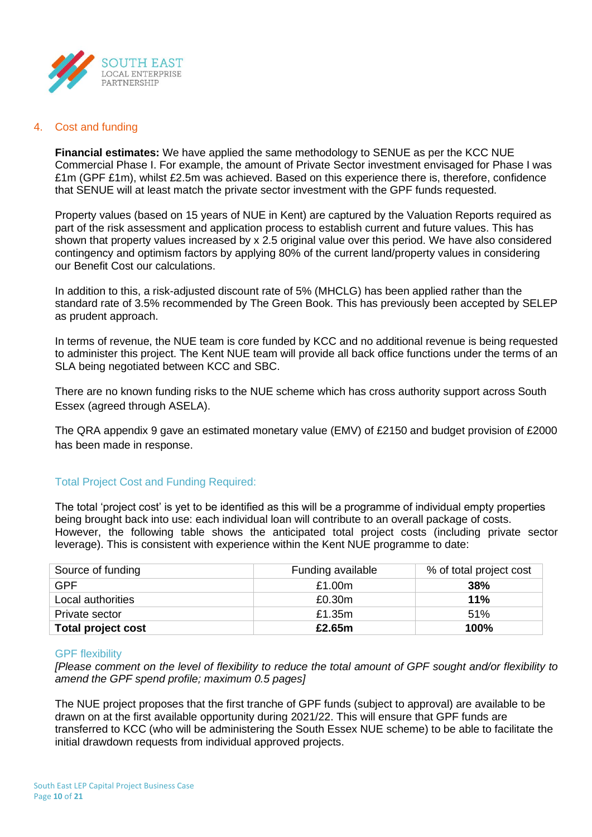

#### 4. Cost and funding

**Financial estimates:** We have applied the same methodology to SENUE as per the KCC NUE Commercial Phase I. For example, the amount of Private Sector investment envisaged for Phase I was £1m (GPF £1m), whilst £2.5m was achieved. Based on this experience there is, therefore, confidence that SENUE will at least match the private sector investment with the GPF funds requested.

Property values (based on 15 years of NUE in Kent) are captured by the Valuation Reports required as part of the risk assessment and application process to establish current and future values. This has shown that property values increased by x 2.5 original value over this period. We have also considered contingency and optimism factors by applying 80% of the current land/property values in considering our Benefit Cost our calculations.

In addition to this, a risk-adjusted discount rate of 5% (MHCLG) has been applied rather than the standard rate of 3.5% recommended by The Green Book. This has previously been accepted by SELEP as prudent approach.

In terms of revenue, the NUE team is core funded by KCC and no additional revenue is being requested to administer this project. The Kent NUE team will provide all back office functions under the terms of an SLA being negotiated between KCC and SBC.

There are no known funding risks to the NUE scheme which has cross authority support across South Essex (agreed through ASELA).

The QRA appendix 9 gave an estimated monetary value (EMV) of £2150 and budget provision of £2000 has been made in response.

# Total Project Cost and Funding Required:

The total 'project cost' is yet to be identified as this will be a programme of individual empty properties being brought back into use: each individual loan will contribute to an overall package of costs. However, the following table shows the anticipated total project costs (including private sector leverage). This is consistent with experience within the Kent NUE programme to date:

| Source of funding         | Funding available | % of total project cost |
|---------------------------|-------------------|-------------------------|
| GPF                       | £1.00m            | 38%                     |
| Local authorities         | £0.30m            | 11%                     |
| Private sector            | £1.35m            | 51%                     |
| <b>Total project cost</b> | £2.65m            | 100%                    |

#### GPF flexibility

*[Please comment on the level of flexibility to reduce the total amount of GPF sought and/or flexibility to amend the GPF spend profile; maximum 0.5 pages]*

The NUE project proposes that the first tranche of GPF funds (subject to approval) are available to be drawn on at the first available opportunity during 2021/22. This will ensure that GPF funds are transferred to KCC (who will be administering the South Essex NUE scheme) to be able to facilitate the initial drawdown requests from individual approved projects.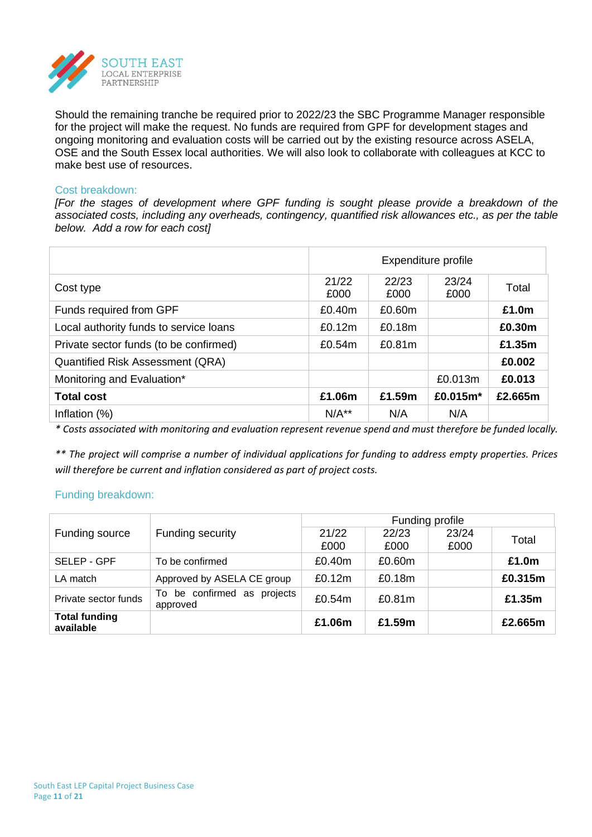

Should the remaining tranche be required prior to 2022/23 the SBC Programme Manager responsible for the project will make the request. No funds are required from GPF for development stages and ongoing monitoring and evaluation costs will be carried out by the existing resource across ASELA, OSE and the South Essex local authorities. We will also look to collaborate with colleagues at KCC to make best use of resources.

#### Cost breakdown:

*[For the stages of development where GPF funding is sought please provide a breakdown of the associated costs, including any overheads, contingency, quantified risk allowances etc., as per the table below. Add a row for each cost]*

|                                         | Expenditure profile |               |               |         |  |
|-----------------------------------------|---------------------|---------------|---------------|---------|--|
| Cost type                               | 21/22<br>£000       | 22/23<br>£000 | 23/24<br>£000 | Total   |  |
| Funds required from GPF                 | £0.40m              | £0.60m        |               | £1.0m   |  |
| Local authority funds to service loans  | £0.12m              | £0.18m        |               | £0.30m  |  |
| Private sector funds (to be confirmed)  | £0.54m              | £0.81m        |               | £1.35m  |  |
| <b>Quantified Risk Assessment (QRA)</b> |                     |               |               | £0,002  |  |
| Monitoring and Evaluation*              |                     |               | £0.013m       | £0.013  |  |
| <b>Total cost</b>                       | £1.06m              | £1.59m        | £0.015m*      | £2.665m |  |
| Inflation $(\%)$                        | $N/A**$             | N/A           | N/A           |         |  |

*\* Costs associated with monitoring and evaluation represent revenue spend and must therefore be funded locally.*

*\*\* The project will comprise a number of individual applications for funding to address empty properties. Prices will therefore be current and inflation considered as part of project costs.* 

#### Funding breakdown:

|                                   |                                            | Funding profile |               |               |         |  |  |
|-----------------------------------|--------------------------------------------|-----------------|---------------|---------------|---------|--|--|
| Funding source                    | <b>Funding security</b>                    | 21/22<br>£000   | 22/23<br>£000 | 23/24<br>£000 | Total   |  |  |
| SELEP - GPF                       | To be confirmed                            | £0.40m          | £0.60m        |               | £1.0m   |  |  |
| LA match                          | Approved by ASELA CE group                 | £0.12m          | £0.18m        |               | £0.315m |  |  |
| Private sector funds              | be confirmed as projects<br>To<br>approved | £0.54m          | £0.81m        |               | £1.35m  |  |  |
| <b>Total funding</b><br>available |                                            | £1.06m          | £1.59m        |               | £2.665m |  |  |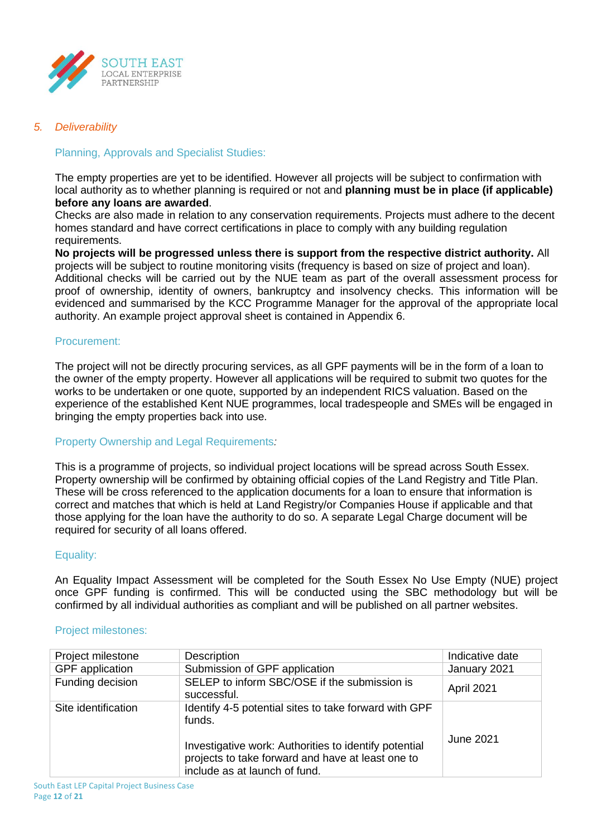

### *5. Deliverability*

### Planning, Approvals and Specialist Studies:

The empty properties are yet to be identified. However all projects will be subject to confirmation with local authority as to whether planning is required or not and **planning must be in place (if applicable) before any loans are awarded**.

Checks are also made in relation to any conservation requirements. Projects must adhere to the decent homes standard and have correct certifications in place to comply with any building regulation requirements.

**No projects will be progressed unless there is support from the respective district authority.** All projects will be subject to routine monitoring visits (frequency is based on size of project and loan). Additional checks will be carried out by the NUE team as part of the overall assessment process for proof of ownership, identity of owners, bankruptcy and insolvency checks. This information will be evidenced and summarised by the KCC Programme Manager for the approval of the appropriate local authority. An example project approval sheet is contained in Appendix 6.

#### Procurement:

The project will not be directly procuring services, as all GPF payments will be in the form of a loan to the owner of the empty property. However all applications will be required to submit two quotes for the works to be undertaken or one quote, supported by an independent RICS valuation. Based on the experience of the established Kent NUE programmes, local tradespeople and SMEs will be engaged in bringing the empty properties back into use.

#### Property Ownership and Legal Requirements*:*

This is a programme of projects, so individual project locations will be spread across South Essex. Property ownership will be confirmed by obtaining official copies of the Land Registry and Title Plan. These will be cross referenced to the application documents for a loan to ensure that information is correct and matches that which is held at Land Registry/or Companies House if applicable and that those applying for the loan have the authority to do so. A separate Legal Charge document will be required for security of all loans offered.

#### Equality:

An Equality Impact Assessment will be completed for the South Essex No Use Empty (NUE) project once GPF funding is confirmed. This will be conducted using the SBC methodology but will be confirmed by all individual authorities as compliant and will be published on all partner websites.

#### Project milestones:

| Project milestone      | <b>Description</b>                                                                                                                          | Indicative date |
|------------------------|---------------------------------------------------------------------------------------------------------------------------------------------|-----------------|
| <b>GPF</b> application | Submission of GPF application                                                                                                               | January 2021    |
| Funding decision       | SELEP to inform SBC/OSE if the submission is<br>successful.                                                                                 | April 2021      |
| Site identification    | Identify 4-5 potential sites to take forward with GPF<br>funds.                                                                             |                 |
|                        | Investigative work: Authorities to identify potential<br>projects to take forward and have at least one to<br>include as at launch of fund. | June 2021       |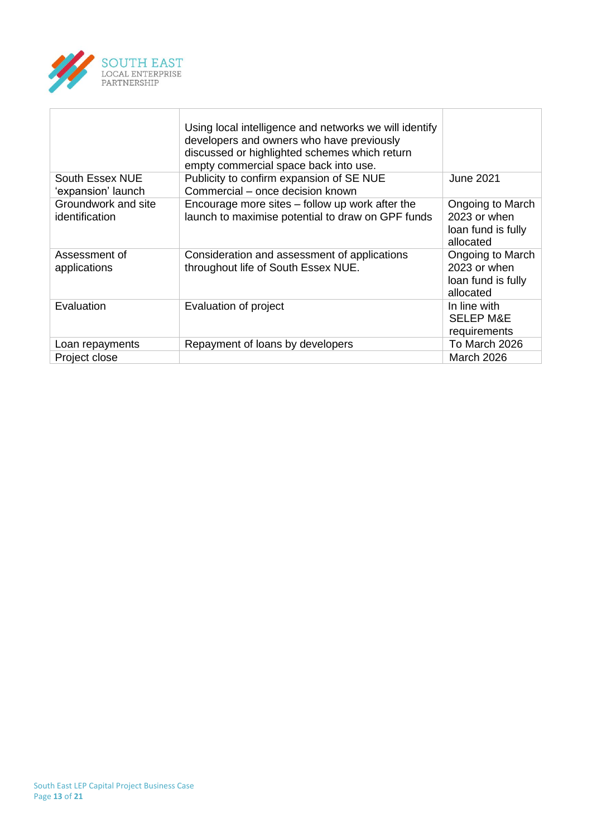

|                                       | Using local intelligence and networks we will identify<br>developers and owners who have previously<br>discussed or highlighted schemes which return<br>empty commercial space back into use. |                                                                     |
|---------------------------------------|-----------------------------------------------------------------------------------------------------------------------------------------------------------------------------------------------|---------------------------------------------------------------------|
| South Essex NUE<br>'expansion' launch | Publicity to confirm expansion of SE NUE<br>Commercial – once decision known                                                                                                                  | <b>June 2021</b>                                                    |
| Groundwork and site<br>identification | Encourage more sites $-$ follow up work after the<br>launch to maximise potential to draw on GPF funds                                                                                        | Ongoing to March<br>2023 or when<br>loan fund is fully<br>allocated |
| Assessment of<br>applications         | Consideration and assessment of applications<br>throughout life of South Essex NUE.                                                                                                           | Ongoing to March<br>2023 or when<br>loan fund is fully<br>allocated |
| Evaluation                            | Evaluation of project                                                                                                                                                                         | In line with<br><b>SELEP M&amp;E</b><br>requirements                |
| Loan repayments                       | Repayment of loans by developers                                                                                                                                                              | To March 2026                                                       |
| Project close                         |                                                                                                                                                                                               | <b>March 2026</b>                                                   |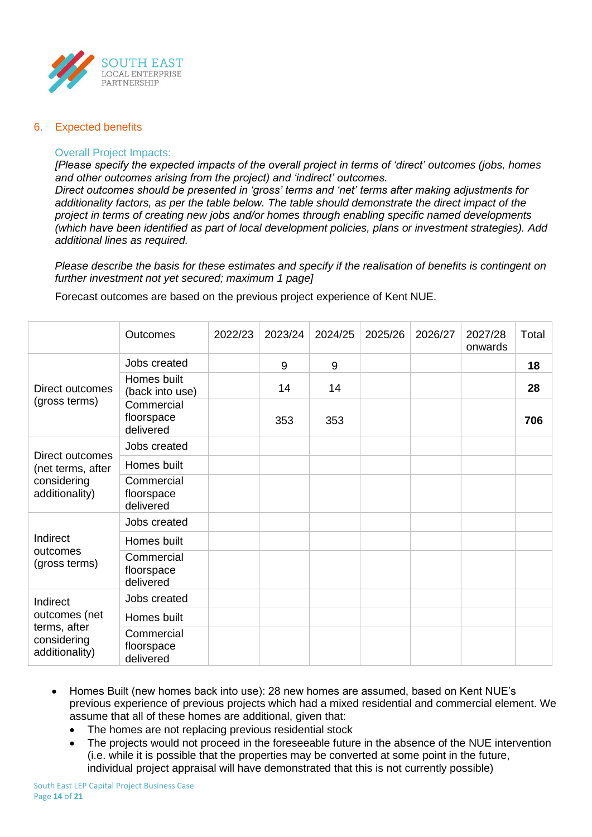

#### 6. Expected benefits

#### Overall Project Impacts:

*[Please specify the expected impacts of the overall project in terms of 'direct' outcomes (jobs, homes and other outcomes arising from the project) and 'indirect' outcomes.*

*Direct outcomes should be presented in 'gross' terms and 'net' terms after making adjustments for additionality factors, as per the table below. The table should demonstrate the direct impact of the project in terms of creating new jobs and/or homes through enabling specific named developments (which have been identified as part of local development policies, plans or investment strategies). Add additional lines as required.*

*Please describe the basis for these estimates and specify if the realisation of benefits is contingent on further investment not yet secured; maximum 1 page]*

Forecast outcomes are based on the previous project experience of Kent NUE.

|                                               | Outcomes                              | 2022/23 | 2023/24 | 2024/25 | 2025/26 | 2026/27 | 2027/28<br>onwards | Total |
|-----------------------------------------------|---------------------------------------|---------|---------|---------|---------|---------|--------------------|-------|
|                                               | Jobs created                          |         | 9       | 9       |         |         |                    | 18    |
| Direct outcomes                               | Homes built<br>(back into use)        |         | 14      | 14      |         |         |                    | 28    |
| (gross terms)                                 | Commercial<br>floorspace<br>delivered |         | 353     | 353     |         |         |                    | 706   |
| Direct outcomes                               | Jobs created                          |         |         |         |         |         |                    |       |
| (net terms, after                             | Homes built                           |         |         |         |         |         |                    |       |
| considering<br>additionality)                 | Commercial<br>floorspace<br>delivered |         |         |         |         |         |                    |       |
|                                               | Jobs created                          |         |         |         |         |         |                    |       |
| Indirect                                      | Homes built                           |         |         |         |         |         |                    |       |
| outcomes<br>(gross terms)                     | Commercial<br>floorspace<br>delivered |         |         |         |         |         |                    |       |
| Indirect                                      | Jobs created                          |         |         |         |         |         |                    |       |
| outcomes (net                                 | Homes built                           |         |         |         |         |         |                    |       |
| terms, after<br>considering<br>additionality) | Commercial<br>floorspace<br>delivered |         |         |         |         |         |                    |       |

- Homes Built (new homes back into use): 28 new homes are assumed, based on Kent NUE's previous experience of previous projects which had a mixed residential and commercial element. We assume that all of these homes are additional, given that:
	- The homes are not replacing previous residential stock
	- The projects would not proceed in the foreseeable future in the absence of the NUE intervention (i.e. while it is possible that the properties may be converted at some point in the future, individual project appraisal will have demonstrated that this is not currently possible)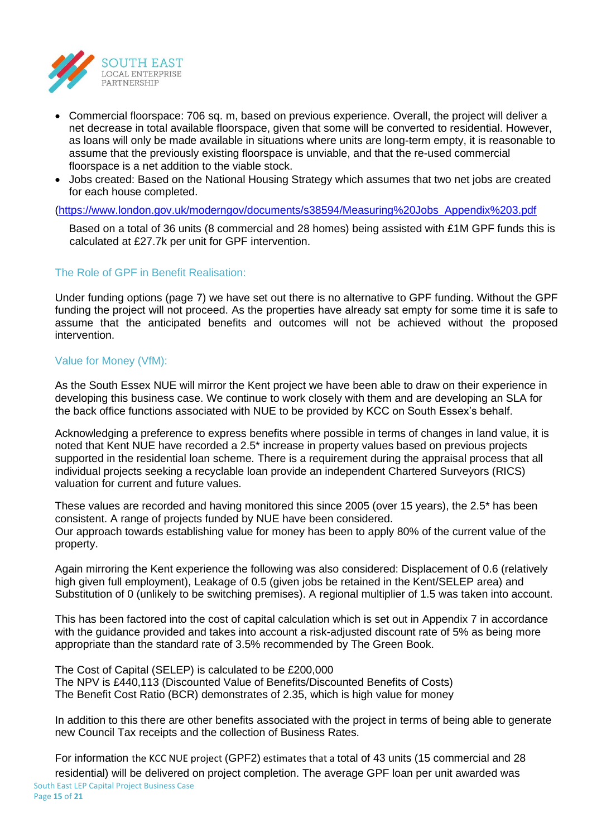

- Commercial floorspace: 706 sq. m, based on previous experience. Overall, the project will deliver a net decrease in total available floorspace, given that some will be converted to residential. However, as loans will only be made available in situations where units are long-term empty, it is reasonable to assume that the previously existing floorspace is unviable, and that the re-used commercial floorspace is a net addition to the viable stock.
- Jobs created: Based on the National Housing Strategy which assumes that two net jobs are created for each house completed.

[\(https://www.london.gov.uk/moderngov/documents/s38594/Measuring%20Jobs\\_Appendix%203.pdf](https://www.london.gov.uk/moderngov/documents/s38594/Measuring%20Jobs_Appendix%203.pdf)

Based on a total of 36 units (8 commercial and 28 homes) being assisted with £1M GPF funds this is calculated at £27.7k per unit for GPF intervention.

# The Role of GPF in Benefit Realisation:

Under funding options (page 7) we have set out there is no alternative to GPF funding. Without the GPF funding the project will not proceed. As the properties have already sat empty for some time it is safe to assume that the anticipated benefits and outcomes will not be achieved without the proposed intervention.

# Value for Money (VfM):

As the South Essex NUE will mirror the Kent project we have been able to draw on their experience in developing this business case. We continue to work closely with them and are developing an SLA for the back office functions associated with NUE to be provided by KCC on South Essex's behalf.

Acknowledging a preference to express benefits where possible in terms of changes in land value, it is noted that Kent NUE have recorded a 2.5\* increase in property values based on previous projects supported in the residential loan scheme. There is a requirement during the appraisal process that all individual projects seeking a recyclable loan provide an independent Chartered Surveyors (RICS) valuation for current and future values.

These values are recorded and having monitored this since 2005 (over 15 years), the 2.5\* has been consistent. A range of projects funded by NUE have been considered. Our approach towards establishing value for money has been to apply 80% of the current value of the property.

Again mirroring the Kent experience the following was also considered: Displacement of 0.6 (relatively high given full employment), Leakage of 0.5 (given jobs be retained in the Kent/SELEP area) and Substitution of 0 (unlikely to be switching premises). A regional multiplier of 1.5 was taken into account.

This has been factored into the cost of capital calculation which is set out in Appendix 7 in accordance with the guidance provided and takes into account a risk-adjusted discount rate of 5% as being more appropriate than the standard rate of 3.5% recommended by The Green Book.

The Cost of Capital (SELEP) is calculated to be £200,000 The NPV is £440,113 (Discounted Value of Benefits/Discounted Benefits of Costs) The Benefit Cost Ratio (BCR) demonstrates of 2.35, which is high value for money

In addition to this there are other benefits associated with the project in terms of being able to generate new Council Tax receipts and the collection of Business Rates.

For information the KCC NUE project (GPF2) estimates that a total of 43 units (15 commercial and 28 residential) will be delivered on project completion. The average GPF loan per unit awarded was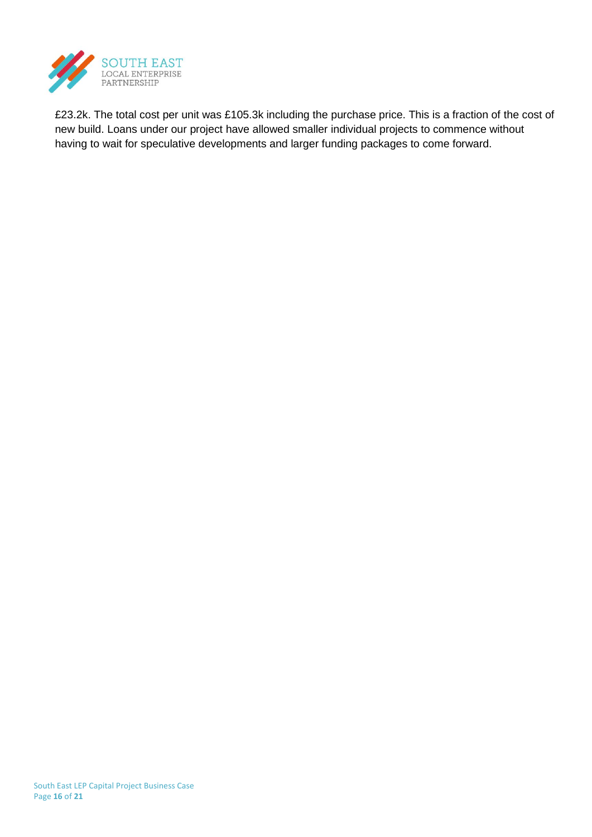

£23.2k. The total cost per unit was £105.3k including the purchase price. This is a fraction of the cost of new build. Loans under our project have allowed smaller individual projects to commence without having to wait for speculative developments and larger funding packages to come forward.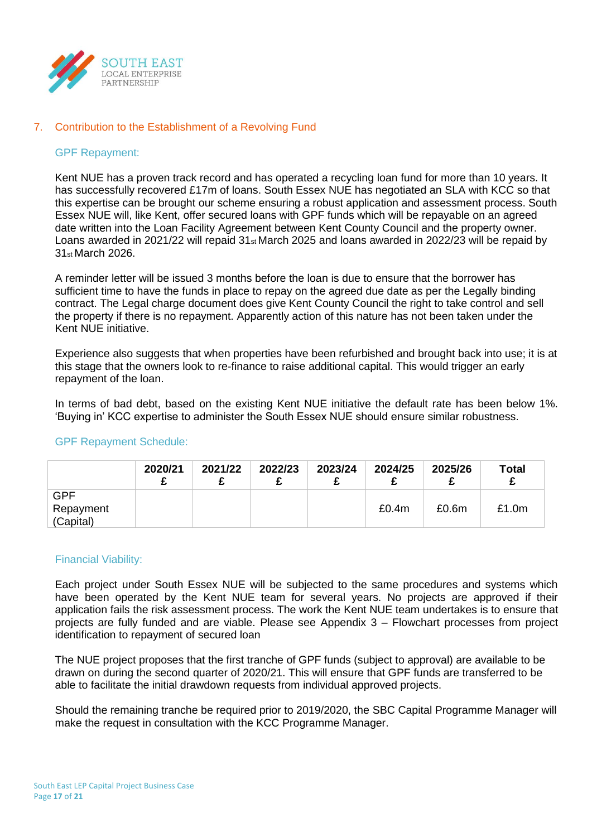

#### 7. Contribution to the Establishment of a Revolving Fund

#### GPF Repayment:

Kent NUE has a proven track record and has operated a recycling loan fund for more than 10 years. It has successfully recovered £17m of loans. South Essex NUE has negotiated an SLA with KCC so that this expertise can be brought our scheme ensuring a robust application and assessment process. South Essex NUE will, like Kent, offer secured loans with GPF funds which will be repayable on an agreed date written into the Loan Facility Agreement between Kent County Council and the property owner. Loans awarded in 2021/22 will repaid 31st March 2025 and loans awarded in 2022/23 will be repaid by 31st March 2026.

A reminder letter will be issued 3 months before the loan is due to ensure that the borrower has sufficient time to have the funds in place to repay on the agreed due date as per the Legally binding contract. The Legal charge document does give Kent County Council the right to take control and sell the property if there is no repayment. Apparently action of this nature has not been taken under the Kent NUE initiative.

Experience also suggests that when properties have been refurbished and brought back into use; it is at this stage that the owners look to re-finance to raise additional capital. This would trigger an early repayment of the loan.

In terms of bad debt, based on the existing Kent NUE initiative the default rate has been below 1%. 'Buying in' KCC expertise to administer the South Essex NUE should ensure similar robustness.

#### GPF Repayment Schedule:

|                        | 2020/21 | 2021/22 | 2022/23 | 2023/24 | 2024/25 | 2025/26 | <b>Total</b> |
|------------------------|---------|---------|---------|---------|---------|---------|--------------|
| <b>GPF</b>             |         |         |         |         |         |         |              |
| Repayment<br>(Capital) |         |         |         |         | £0.4m   | £0.6m   | £1.0m        |

#### Financial Viability:

Each project under South Essex NUE will be subjected to the same procedures and systems which have been operated by the Kent NUE team for several years. No projects are approved if their application fails the risk assessment process. The work the Kent NUE team undertakes is to ensure that projects are fully funded and are viable. Please see Appendix 3 – Flowchart processes from project identification to repayment of secured loan

The NUE project proposes that the first tranche of GPF funds (subject to approval) are available to be drawn on during the second quarter of 2020/21. This will ensure that GPF funds are transferred to be able to facilitate the initial drawdown requests from individual approved projects.

Should the remaining tranche be required prior to 2019/2020, the SBC Capital Programme Manager will make the request in consultation with the KCC Programme Manager.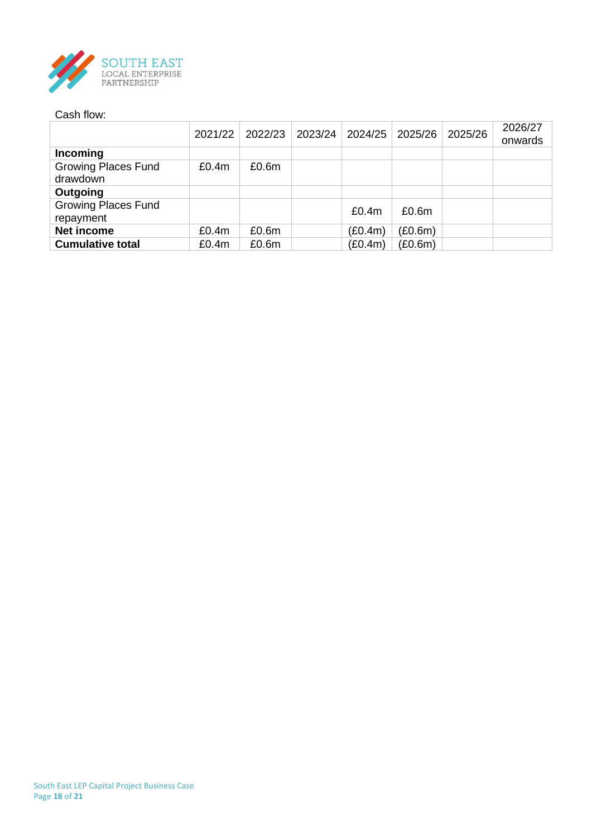

#### Cash flow:

|                            | 2021/22 | 2022/23 | 2023/24 | 2024/25 | 2025/26 | 2025/26 | 2026/27<br>onwards |
|----------------------------|---------|---------|---------|---------|---------|---------|--------------------|
| Incoming                   |         |         |         |         |         |         |                    |
| <b>Growing Places Fund</b> | £0.4m   | £0.6m   |         |         |         |         |                    |
| drawdown                   |         |         |         |         |         |         |                    |
| Outgoing                   |         |         |         |         |         |         |                    |
| <b>Growing Places Fund</b> |         |         |         | £0.4m   | £0.6m   |         |                    |
| repayment                  |         |         |         |         |         |         |                    |
| Net income                 | £0.4m   | £0.6m   |         | (E0.4m) | (E0.6m) |         |                    |
| <b>Cumulative total</b>    | £0.4m   | £0.6m   |         | (E0.4m) | (E0.6m) |         |                    |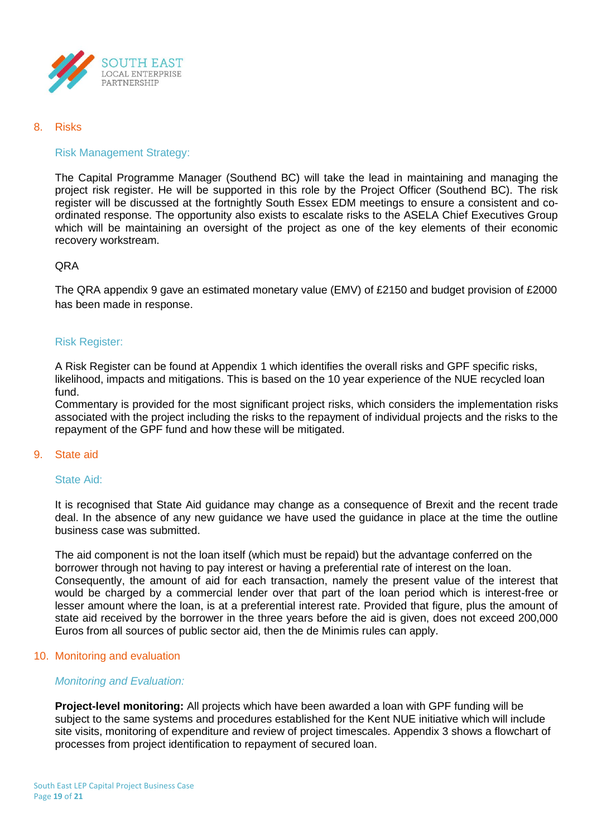

#### 8. Risks

# Risk Management Strategy:

The Capital Programme Manager (Southend BC) will take the lead in maintaining and managing the project risk register. He will be supported in this role by the Project Officer (Southend BC). The risk register will be discussed at the fortnightly South Essex EDM meetings to ensure a consistent and coordinated response. The opportunity also exists to escalate risks to the ASELA Chief Executives Group which will be maintaining an oversight of the project as one of the key elements of their economic recovery workstream.

#### **ORA**

The QRA appendix 9 gave an estimated monetary value (EMV) of £2150 and budget provision of £2000 has been made in response.

#### Risk Register:

A Risk Register can be found at Appendix 1 which identifies the overall risks and GPF specific risks, likelihood, impacts and mitigations. This is based on the 10 year experience of the NUE recycled loan fund.

Commentary is provided for the most significant project risks, which considers the implementation risks associated with the project including the risks to the repayment of individual projects and the risks to the repayment of the GPF fund and how these will be mitigated.

#### 9. State aid

#### State Aid:

It is recognised that State Aid guidance may change as a consequence of Brexit and the recent trade deal. In the absence of any new guidance we have used the guidance in place at the time the outline business case was submitted.

The aid component is not the loan itself (which must be repaid) but the advantage conferred on the borrower through not having to pay interest or having a preferential rate of interest on the loan. Consequently, the amount of aid for each transaction, namely the present value of the interest that would be charged by a commercial lender over that part of the loan period which is interest-free or lesser amount where the loan, is at a preferential interest rate. Provided that figure, plus the amount of state aid received by the borrower in the three years before the aid is given, does not exceed 200,000 Euros from all sources of public sector aid, then the de Minimis rules can apply.

#### 10. Monitoring and evaluation

# *Monitoring and Evaluation:*

**Project-level monitoring:** All projects which have been awarded a loan with GPF funding will be subject to the same systems and procedures established for the Kent NUE initiative which will include site visits, monitoring of expenditure and review of project timescales. Appendix 3 shows a flowchart of processes from project identification to repayment of secured loan.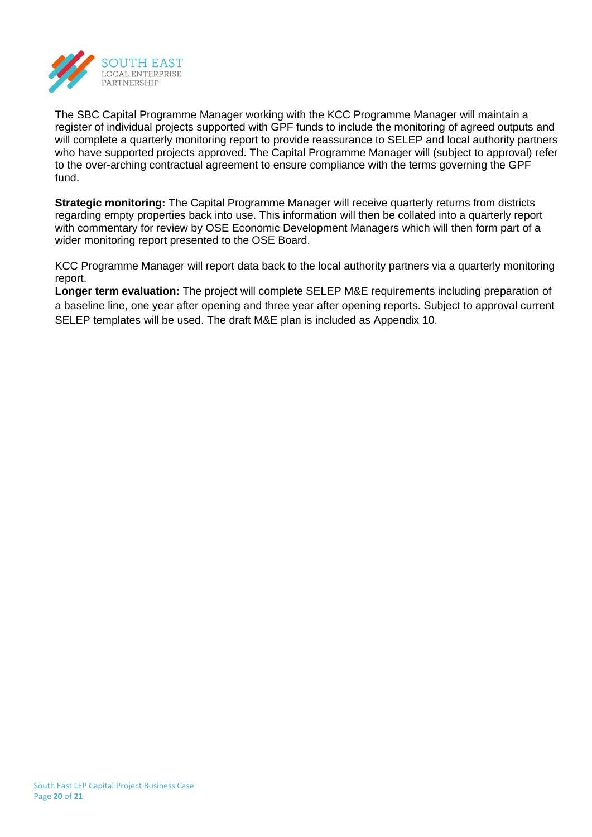

The SBC Capital Programme Manager working with the KCC Programme Manager will maintain a register of individual projects supported with GPF funds to include the monitoring of agreed outputs and will complete a quarterly monitoring report to provide reassurance to SELEP and local authority partners who have supported projects approved. The Capital Programme Manager will (subject to approval) refer to the over-arching contractual agreement to ensure compliance with the terms governing the GPF fund.

**Strategic monitoring:** The Capital Programme Manager will receive quarterly returns from districts regarding empty properties back into use. This information will then be collated into a quarterly report with commentary for review by OSE Economic Development Managers which will then form part of a wider monitoring report presented to the OSE Board.

KCC Programme Manager will report data back to the local authority partners via a quarterly monitoring report.

**Longer term evaluation:** The project will complete SELEP M&E requirements including preparation of a baseline line, one year after opening and three year after opening reports. Subject to approval current SELEP templates will be used. The draft M&E plan is included as Appendix 10.